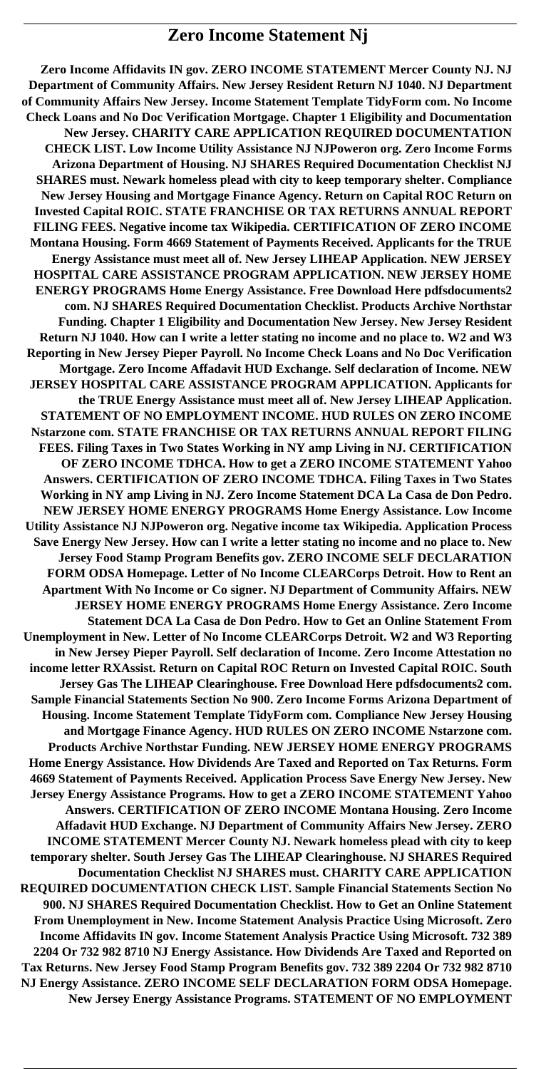# **Zero Income Statement Nj**

**Zero Income Affidavits IN gov. ZERO INCOME STATEMENT Mercer County NJ. NJ Department of Community Affairs. New Jersey Resident Return NJ 1040. NJ Department of Community Affairs New Jersey. Income Statement Template TidyForm com. No Income Check Loans and No Doc Verification Mortgage. Chapter 1 Eligibility and Documentation New Jersey. CHARITY CARE APPLICATION REQUIRED DOCUMENTATION CHECK LIST. Low Income Utility Assistance NJ NJPoweron org. Zero Income Forms Arizona Department of Housing. NJ SHARES Required Documentation Checklist NJ SHARES must. Newark homeless plead with city to keep temporary shelter. Compliance New Jersey Housing and Mortgage Finance Agency. Return on Capital ROC Return on Invested Capital ROIC. STATE FRANCHISE OR TAX RETURNS ANNUAL REPORT FILING FEES. Negative income tax Wikipedia. CERTIFICATION OF ZERO INCOME Montana Housing. Form 4669 Statement of Payments Received. Applicants for the TRUE Energy Assistance must meet all of. New Jersey LIHEAP Application. NEW JERSEY HOSPITAL CARE ASSISTANCE PROGRAM APPLICATION. NEW JERSEY HOME ENERGY PROGRAMS Home Energy Assistance. Free Download Here pdfsdocuments2 com. NJ SHARES Required Documentation Checklist. Products Archive Northstar Funding. Chapter 1 Eligibility and Documentation New Jersey. New Jersey Resident Return NJ 1040. How can I write a letter stating no income and no place to. W2 and W3 Reporting in New Jersey Pieper Payroll. No Income Check Loans and No Doc Verification Mortgage. Zero Income Affadavit HUD Exchange. Self declaration of Income. NEW JERSEY HOSPITAL CARE ASSISTANCE PROGRAM APPLICATION. Applicants for the TRUE Energy Assistance must meet all of. New Jersey LIHEAP Application. STATEMENT OF NO EMPLOYMENT INCOME. HUD RULES ON ZERO INCOME Nstarzone com. STATE FRANCHISE OR TAX RETURNS ANNUAL REPORT FILING FEES. Filing Taxes in Two States Working in NY amp Living in NJ. CERTIFICATION OF ZERO INCOME TDHCA. How to get a ZERO INCOME STATEMENT Yahoo Answers. CERTIFICATION OF ZERO INCOME TDHCA. Filing Taxes in Two States Working in NY amp Living in NJ. Zero Income Statement DCA La Casa de Don Pedro. NEW JERSEY HOME ENERGY PROGRAMS Home Energy Assistance. Low Income Utility Assistance NJ NJPoweron org. Negative income tax Wikipedia. Application Process Save Energy New Jersey. How can I write a letter stating no income and no place to. New Jersey Food Stamp Program Benefits gov. ZERO INCOME SELF DECLARATION FORM ODSA Homepage. Letter of No Income CLEARCorps Detroit. How to Rent an Apartment With No Income or Co signer. NJ Department of Community Affairs. NEW JERSEY HOME ENERGY PROGRAMS Home Energy Assistance. Zero Income Statement DCA La Casa de Don Pedro. How to Get an Online Statement From Unemployment in New. Letter of No Income CLEARCorps Detroit. W2 and W3 Reporting in New Jersey Pieper Payroll. Self declaration of Income. Zero Income Attestation no income letter RXAssist. Return on Capital ROC Return on Invested Capital ROIC. South Jersey Gas The LIHEAP Clearinghouse. Free Download Here pdfsdocuments2 com. Sample Financial Statements Section No 900. Zero Income Forms Arizona Department of Housing. Income Statement Template TidyForm com. Compliance New Jersey Housing and Mortgage Finance Agency. HUD RULES ON ZERO INCOME Nstarzone com. Products Archive Northstar Funding. NEW JERSEY HOME ENERGY PROGRAMS Home Energy Assistance. How Dividends Are Taxed and Reported on Tax Returns. Form 4669 Statement of Payments Received. Application Process Save Energy New Jersey. New Jersey Energy Assistance Programs. How to get a ZERO INCOME STATEMENT Yahoo Answers. CERTIFICATION OF ZERO INCOME Montana Housing. Zero Income Affadavit HUD Exchange. NJ Department of Community Affairs New Jersey. ZERO INCOME STATEMENT Mercer County NJ. Newark homeless plead with city to keep temporary shelter. South Jersey Gas The LIHEAP Clearinghouse. NJ SHARES Required Documentation Checklist NJ SHARES must. CHARITY CARE APPLICATION REQUIRED DOCUMENTATION CHECK LIST. Sample Financial Statements Section No 900. NJ SHARES Required Documentation Checklist. How to Get an Online Statement From Unemployment in New. Income Statement Analysis Practice Using Microsoft. Zero Income Affidavits IN gov. Income Statement Analysis Practice Using Microsoft. 732 389 2204 Or 732 982 8710 NJ Energy Assistance. How Dividends Are Taxed and Reported on Tax Returns. New Jersey Food Stamp Program Benefits gov. 732 389 2204 Or 732 982 8710 NJ Energy Assistance. ZERO INCOME SELF DECLARATION FORM ODSA Homepage. New Jersey Energy Assistance Programs. STATEMENT OF NO EMPLOYMENT**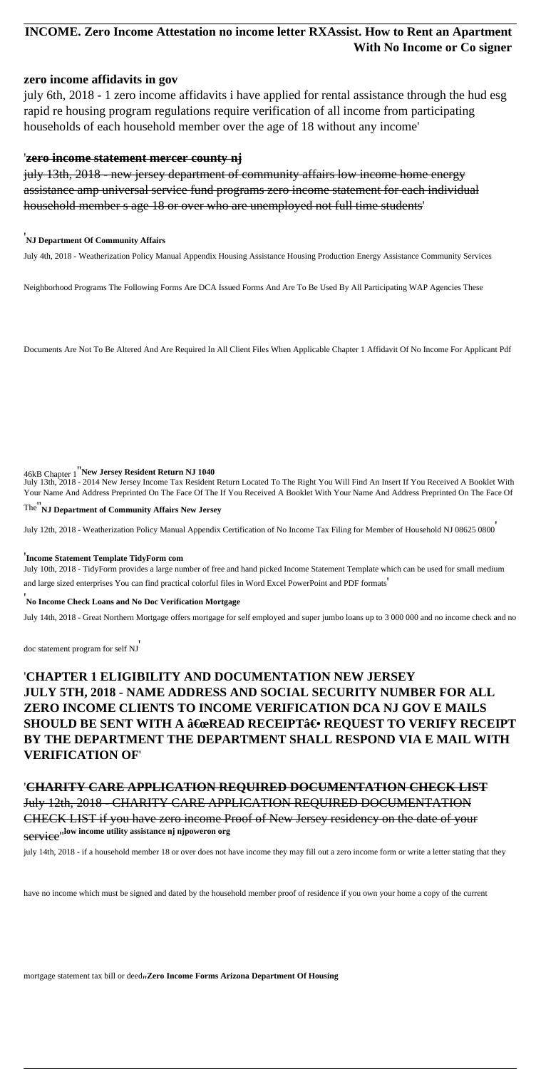# **INCOME. Zero Income Attestation no income letter RXAssist. How to Rent an Apartment With No Income or Co signer**

#### **zero income affidavits in gov**

july 6th, 2018 - 1 zero income affidavits i have applied for rental assistance through the hud esg rapid re housing program regulations require verification of all income from participating households of each household member over the age of 18 without any income'

#### '**zero income statement mercer county nj**

july 13th, 2018 - new jersey department of community affairs low income home energy assistance amp universal service fund programs zero income statement for each individual household member s age 18 or over who are unemployed not full time students'

#### '**NJ Department Of Community Affairs**

July 4th, 2018 - Weatherization Policy Manual Appendix Housing Assistance Housing Production Energy Assistance Community Services

Neighborhood Programs The Following Forms Are DCA Issued Forms And Are To Be Used By All Participating WAP Agencies These

Documents Are Not To Be Altered And Are Required In All Client Files When Applicable Chapter 1 Affidavit Of No Income For Applicant Pdf

#### 46kB Chapter 1''**New Jersey Resident Return NJ 1040**

July 13th, 2018 - 2014 New Jersey Income Tax Resident Return Located To The Right You Will Find An Insert If You Received A Booklet With Your Name And Address Preprinted On The Face Of The If You Received A Booklet With Your Name And Address Preprinted On The Face Of

#### The''**NJ Department of Community Affairs New Jersey**

July 12th, 2018 - Weatherization Policy Manual Appendix Certification of No Income Tax Filing for Member of Household NJ 08625 0800'

#### '**Income Statement Template TidyForm com**

July 10th, 2018 - TidyForm provides a large number of free and hand picked Income Statement Template which can be used for small medium and large sized enterprises You can find practical colorful files in Word Excel PowerPoint and PDF formats'

#### '**No Income Check Loans and No Doc Verification Mortgage**

July 14th, 2018 - Great Northern Mortgage offers mortgage for self employed and super jumbo loans up to 3 000 000 and no income check and no

doc statement program for self NJ'

# '**CHAPTER 1 ELIGIBILITY AND DOCUMENTATION NEW JERSEY JULY 5TH, 2018 - NAME ADDRESS AND SOCIAL SECURITY NUMBER FOR ALL ZERO INCOME CLIENTS TO INCOME VERIFICATION DCA NJ GOV E MAILS SHOULD BE SENT WITH A "READ RECEIPT― REQUEST TO VERIFY RECEIPT BY THE DEPARTMENT THE DEPARTMENT SHALL RESPOND VIA E MAIL WITH VERIFICATION OF**'

# '**CHARITY CARE APPLICATION REQUIRED DOCUMENTATION CHECK LIST** July 12th, 2018 - CHARITY CARE APPLICATION REQUIRED DOCUMENTATION CHECK LIST if you have zero income Proof of New Jersey residency on the date of your service''**low income utility assistance nj njpoweron org**

july 14th, 2018 - if a household member 18 or over does not have income they may fill out a zero income form or write a letter stating that they

have no income which must be signed and dated by the household member proof of residence if you own your home a copy of the current

mortgage statement tax bill or deed<sub>1</sub>, **Zero Income Forms Arizona Department Of Housing**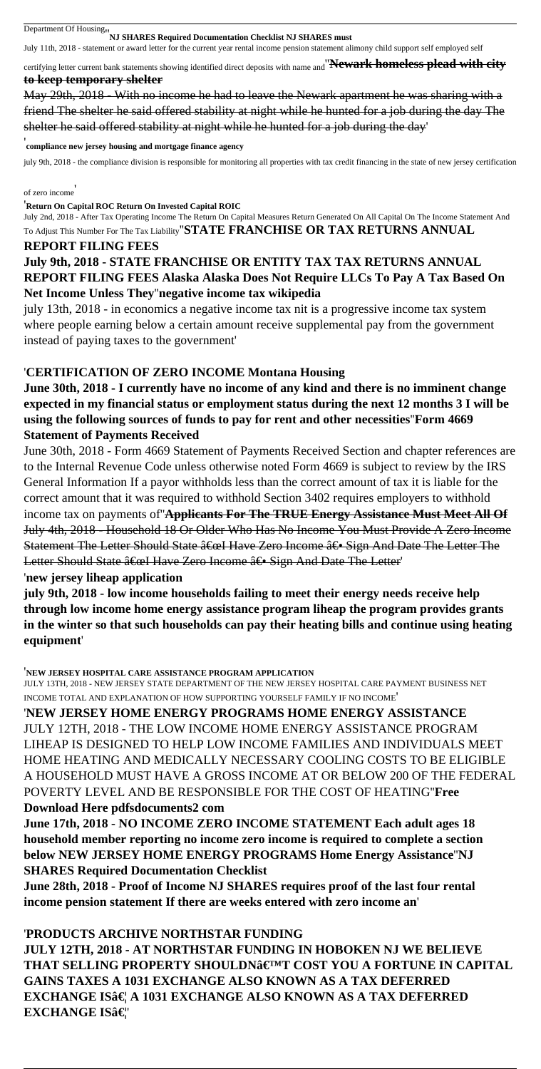# Department Of Housing''**NJ SHARES Required Documentation Checklist NJ SHARES must**

July 11th, 2018 - statement or award letter for the current year rental income pension statement alimony child support self employed self

certifying letter current bank statements showing identified direct deposits with name and''**Newark homeless plead with city to keep temporary shelter**

May 29th, 2018 - With no income he had to leave the Newark apartment he was sharing with a friend The shelter he said offered stability at night while he hunted for a job during the day The shelter he said offered stability at night while he hunted for a job during the day'

#### '**compliance new jersey housing and mortgage finance agency**

july 9th, 2018 - the compliance division is responsible for monitoring all properties with tax credit financing in the state of new jersey certification

#### of zero income'

#### '**Return On Capital ROC Return On Invested Capital ROIC**

June 30th, 2018 - Form 4669 Statement of Payments Received Section and chapter references are to the Internal Revenue Code unless otherwise noted Form 4669 is subject to review by the IRS General Information If a payor withholds less than the correct amount of tax it is liable for the correct amount that it was required to withhold Section 3402 requires employers to withhold income tax on payments of''**Applicants For The TRUE Energy Assistance Must Meet All Of** July 4th, 2018 - Household 18 Or Older Who Has No Income You Must Provide A Zero Income Statement The Letter Should State  $\hat{a} \in \mathbb{R}$  Have Zero Income  $\hat{a} \in \mathbb{S}$  Sign And Date The Letter The Letter Should State  $\hat{a} \in \mathbb{R}$  Have Zero Income  $\hat{a} \in \mathbb{S}$  Sign And Date The Letter

July 2nd, 2018 - After Tax Operating Income The Return On Capital Measures Return Generated On All Capital On The Income Statement And

#### To Adjust This Number For The Tax Liability''**STATE FRANCHISE OR TAX RETURNS ANNUAL REPORT FILING FEES**

# **July 9th, 2018 - STATE FRANCHISE OR ENTITY TAX TAX RETURNS ANNUAL REPORT FILING FEES Alaska Alaska Does Not Require LLCs To Pay A Tax Based On Net Income Unless They**''**negative income tax wikipedia**

july 13th, 2018 - in economics a negative income tax nit is a progressive income tax system where people earning below a certain amount receive supplemental pay from the government instead of paying taxes to the government'

#### '**CERTIFICATION OF ZERO INCOME Montana Housing**

# **June 30th, 2018 - I currently have no income of any kind and there is no imminent change expected in my financial status or employment status during the next 12 months 3 I will be using the following sources of funds to pay for rent and other necessities**''**Form 4669 Statement of Payments Received**

# '**PRODUCTS ARCHIVE NORTHSTAR FUNDING JULY 12TH, 2018 - AT NORTHSTAR FUNDING IN HOBOKEN NJ WE BELIEVE THAT SELLING PROPERTY SHOULDN'T COST YOU A FORTUNE IN CAPITAL GAINS TAXES A 1031 EXCHANGE ALSO KNOWN AS A TAX DEFERRED EXCHANGE IS… A 1031 EXCHANGE ALSO KNOWN AS A TAX DEFERRED EXCHANGE IS…**

#### '**new jersey liheap application**

**july 9th, 2018 - low income households failing to meet their energy needs receive help through low income home energy assistance program liheap the program provides grants in the winter so that such households can pay their heating bills and continue using heating equipment**'

'**NEW JERSEY HOSPITAL CARE ASSISTANCE PROGRAM APPLICATION**

JULY 13TH, 2018 - NEW JERSEY STATE DEPARTMENT OF THE NEW JERSEY HOSPITAL CARE PAYMENT BUSINESS NET INCOME TOTAL AND EXPLANATION OF HOW SUPPORTING YOURSELF FAMILY IF NO INCOME'

'**NEW JERSEY HOME ENERGY PROGRAMS HOME ENERGY ASSISTANCE** JULY 12TH, 2018 - THE LOW INCOME HOME ENERGY ASSISTANCE PROGRAM LIHEAP IS DESIGNED TO HELP LOW INCOME FAMILIES AND INDIVIDUALS MEET

HOME HEATING AND MEDICALLY NECESSARY COOLING COSTS TO BE ELIGIBLE A HOUSEHOLD MUST HAVE A GROSS INCOME AT OR BELOW 200 OF THE FEDERAL POVERTY LEVEL AND BE RESPONSIBLE FOR THE COST OF HEATING''**Free Download Here pdfsdocuments2 com June 17th, 2018 - NO INCOME ZERO INCOME STATEMENT Each adult ages 18 household member reporting no income zero income is required to complete a section below NEW JERSEY HOME ENERGY PROGRAMS Home Energy Assistance**''**NJ SHARES Required Documentation Checklist June 28th, 2018 - Proof of Income NJ SHARES requires proof of the last four rental income pension statement If there are weeks entered with zero income an**'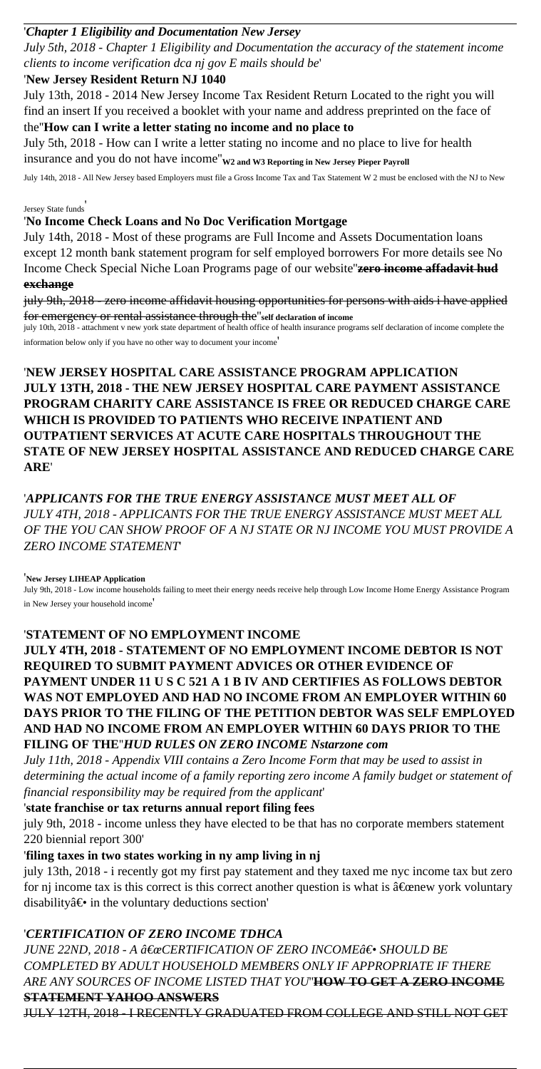#### '*Chapter 1 Eligibility and Documentation New Jersey*

*July 5th, 2018 - Chapter 1 Eligibility and Documentation the accuracy of the statement income clients to income verification dca nj gov E mails should be*'

#### '**New Jersey Resident Return NJ 1040**

July 13th, 2018 - 2014 New Jersey Income Tax Resident Return Located to the right you will find an insert If you received a booklet with your name and address preprinted on the face of the''**How can I write a letter stating no income and no place to**

July 5th, 2018 - How can I write a letter stating no income and no place to live for health insurance and you do not have income''**W2 and W3 Reporting in New Jersey Pieper Payroll**

July 14th, 2018 - All New Jersey based Employers must file a Gross Income Tax and Tax Statement W 2 must be enclosed with the NJ to New

Jersey State funds'

### '**No Income Check Loans and No Doc Verification Mortgage**

July 14th, 2018 - Most of these programs are Full Income and Assets Documentation loans except 12 month bank statement program for self employed borrowers For more details see No Income Check Special Niche Loan Programs page of our website''**zero income affadavit hud exchange**

july 9th, 2018 - zero income affidavit housing opportunities for persons with aids i have applied for emergency or rental assistance through the''**self declaration of income**

july 10th, 2018 - attachment v new york state department of health office of health insurance programs self declaration of income complete the information below only if you have no other way to document your income'

july 13th, 2018 - i recently got my first pay statement and they taxed me nyc income tax but zero for nj income tax is this correct is this correct another question is what is  $\hat{a} \in \mathbb{C}$  expression vork voluntary disability $\hat{a} \in \hat{a}$  in the voluntary deductions section'

'**NEW JERSEY HOSPITAL CARE ASSISTANCE PROGRAM APPLICATION JULY 13TH, 2018 - THE NEW JERSEY HOSPITAL CARE PAYMENT ASSISTANCE PROGRAM CHARITY CARE ASSISTANCE IS FREE OR REDUCED CHARGE CARE WHICH IS PROVIDED TO PATIENTS WHO RECEIVE INPATIENT AND OUTPATIENT SERVICES AT ACUTE CARE HOSPITALS THROUGHOUT THE STATE OF NEW JERSEY HOSPITAL ASSISTANCE AND REDUCED CHARGE CARE ARE**'

*JUNE 22ND, 2018 - A "CERTIFICATION OF ZERO INCOMEâ€*• SHOULD BE *COMPLETED BY ADULT HOUSEHOLD MEMBERS ONLY IF APPROPRIATE IF THERE ARE ANY SOURCES OF INCOME LISTED THAT YOU*''**HOW TO GET A ZERO INCOME STATEMENT YAHOO ANSWERS**

'*APPLICANTS FOR THE TRUE ENERGY ASSISTANCE MUST MEET ALL OF JULY 4TH, 2018 - APPLICANTS FOR THE TRUE ENERGY ASSISTANCE MUST MEET ALL OF THE YOU CAN SHOW PROOF OF A NJ STATE OR NJ INCOME YOU MUST PROVIDE A ZERO INCOME STATEMENT*'

#### '**New Jersey LIHEAP Application**

July 9th, 2018 - Low income households failing to meet their energy needs receive help through Low Income Home Energy Assistance Program in New Jersey your household income'

'**STATEMENT OF NO EMPLOYMENT INCOME JULY 4TH, 2018 - STATEMENT OF NO EMPLOYMENT INCOME DEBTOR IS NOT REQUIRED TO SUBMIT PAYMENT ADVICES OR OTHER EVIDENCE OF PAYMENT UNDER 11 U S C 521 A 1 B IV AND CERTIFIES AS FOLLOWS DEBTOR WAS NOT EMPLOYED AND HAD NO INCOME FROM AN EMPLOYER WITHIN 60 DAYS PRIOR TO THE FILING OF THE PETITION DEBTOR WAS SELF EMPLOYED AND HAD NO INCOME FROM AN EMPLOYER WITHIN 60 DAYS PRIOR TO THE FILING OF THE**''*HUD RULES ON ZERO INCOME Nstarzone com*

*July 11th, 2018 - Appendix VIII contains a Zero Income Form that may be used to assist in determining the actual income of a family reporting zero income A family budget or statement of financial responsibility may be required from the applicant*'

# '**state franchise or tax returns annual report filing fees**

july 9th, 2018 - income unless they have elected to be that has no corporate members statement 220 biennial report 300'

### '**filing taxes in two states working in ny amp living in nj**

## '*CERTIFICATION OF ZERO INCOME TDHCA*

JULY 12TH, 2018 - I RECENTLY GRADUATED FROM COLLEGE AND STILL NOT GET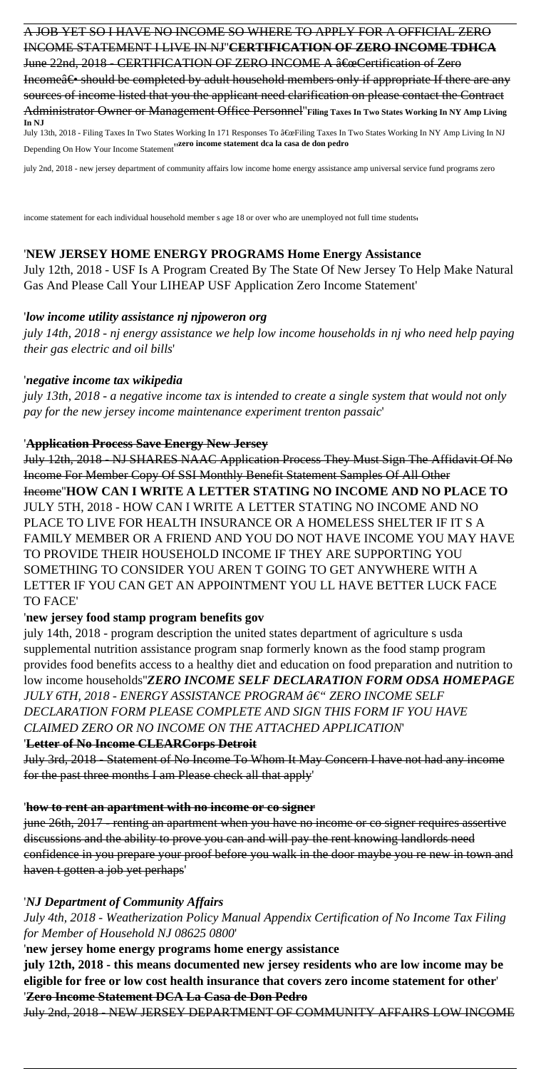A JOB YET SO I HAVE NO INCOME SO WHERE TO APPLY FOR A OFFICIAL ZERO INCOME STATEMENT I LIVE IN NJ''**CERTIFICATION OF ZERO INCOME TDHCA** June 22nd, 2018 - CERTIFICATION OF ZERO INCOME A  $\hat{a} \in \alpha$ Certification of Zero Income $\hat{a} \in \hat{B}$  should be completed by adult household members only if appropriate If there are any sources of income listed that you the applicant need clarification on please contact the Contract Administrator Owner or Management Office Personnel''**Filing Taxes In Two States Working In NY Amp Living In NJ** July 13th, 2018 - Filing Taxes In Two States Working In 171 Responses To "Filing Taxes In Two States Working In NY Amp Living In NJ

Depending On How Your Income Statement''**zero income statement dca la casa de don pedro**

july 2nd, 2018 - new jersey department of community affairs low income home energy assistance amp universal service fund programs zero

income statement for each individual household member s age 18 or over who are unemployed not full time students,

### '**NEW JERSEY HOME ENERGY PROGRAMS Home Energy Assistance**

July 12th, 2018 - USF Is A Program Created By The State Of New Jersey To Help Make Natural Gas And Please Call Your LIHEAP USF Application Zero Income Statement'

#### '*low income utility assistance nj njpoweron org*

*july 14th, 2018 - nj energy assistance we help low income households in nj who need help paying their gas electric and oil bills*'

#### '*negative income tax wikipedia*

*july 13th, 2018 - a negative income tax is intended to create a single system that would not only pay for the new jersey income maintenance experiment trenton passaic*'

#### '**Application Process Save Energy New Jersey**

July 12th, 2018 - NJ SHARES NAAC Application Process They Must Sign The Affidavit Of No Income For Member Copy Of SSI Monthly Benefit Statement Samples Of All Other Income''**HOW CAN I WRITE A LETTER STATING NO INCOME AND NO PLACE TO** JULY 5TH, 2018 - HOW CAN I WRITE A LETTER STATING NO INCOME AND NO PLACE TO LIVE FOR HEALTH INSURANCE OR A HOMELESS SHELTER IF IT S A FAMILY MEMBER OR A FRIEND AND YOU DO NOT HAVE INCOME YOU MAY HAVE TO PROVIDE THEIR HOUSEHOLD INCOME IF THEY ARE SUPPORTING YOU SOMETHING TO CONSIDER YOU AREN T GOING TO GET ANYWHERE WITH A LETTER IF YOU CAN GET AN APPOINTMENT YOU LL HAVE BETTER LUCK FACE TO FACE'

### '**new jersey food stamp program benefits gov**

july 14th, 2018 - program description the united states department of agriculture s usda supplemental nutrition assistance program snap formerly known as the food stamp program provides food benefits access to a healthy diet and education on food preparation and nutrition to low income households''*ZERO INCOME SELF DECLARATION FORM ODSA HOMEPAGE JULY 6TH, 2018 - ENERGY ASSISTANCE PROGRAM – ZERO INCOME SELF DECLARATION FORM PLEASE COMPLETE AND SIGN THIS FORM IF YOU HAVE CLAIMED ZERO OR NO INCOME ON THE ATTACHED APPLICATION*'

### '**Letter of No Income CLEARCorps Detroit**

July 3rd, 2018 - Statement of No Income To Whom It May Concern I have not had any income for the past three months I am Please check all that apply'

#### '**how to rent an apartment with no income or co signer**

june 26th, 2017 - renting an apartment when you have no income or co signer requires assertive discussions and the ability to prove you can and will pay the rent knowing landlords need confidence in you prepare your proof before you walk in the door maybe you re new in town and haven t gotten a job yet perhaps'

#### '*NJ Department of Community Affairs*

*July 4th, 2018 - Weatherization Policy Manual Appendix Certification of No Income Tax Filing for Member of Household NJ 08625 0800*'

'**new jersey home energy programs home energy assistance**

**july 12th, 2018 - this means documented new jersey residents who are low income may be eligible for free or low cost health insurance that covers zero income statement for other**' '**Zero Income Statement DCA La Casa de Don Pedro**

July 2nd, 2018 - NEW JERSEY DEPARTMENT OF COMMUNITY AFFAIRS LOW INCOME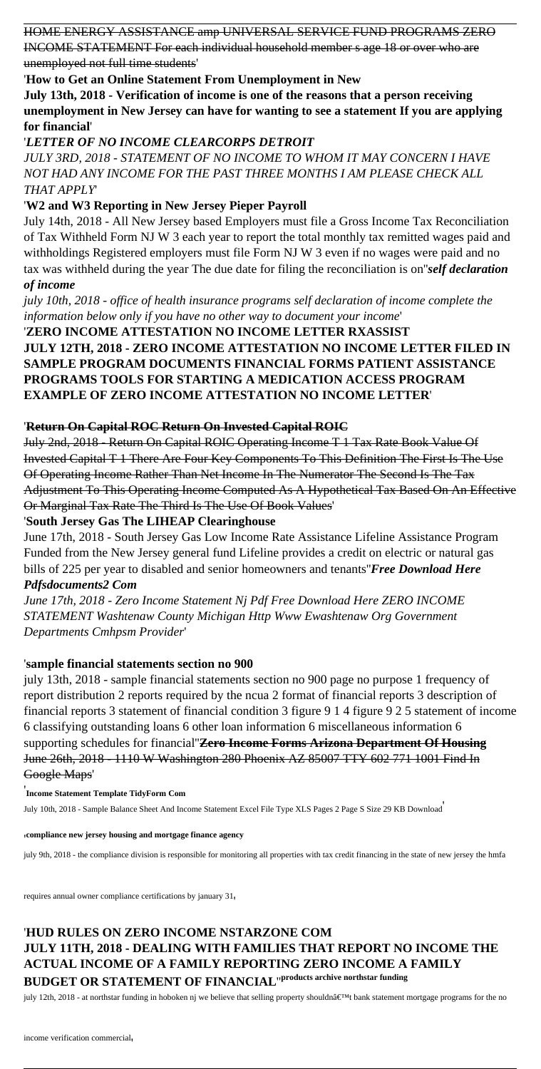HOME ENERGY ASSISTANCE amp UNIVERSAL SERVICE FUND PROGRAMS ZERO

INCOME STATEMENT For each individual household member s age 18 or over who are unemployed not full time students'

'**How to Get an Online Statement From Unemployment in New**

**July 13th, 2018 - Verification of income is one of the reasons that a person receiving unemployment in New Jersey can have for wanting to see a statement If you are applying for financial**'

# '*LETTER OF NO INCOME CLEARCORPS DETROIT*

*JULY 3RD, 2018 - STATEMENT OF NO INCOME TO WHOM IT MAY CONCERN I HAVE NOT HAD ANY INCOME FOR THE PAST THREE MONTHS I AM PLEASE CHECK ALL THAT APPLY*'

# '**W2 and W3 Reporting in New Jersey Pieper Payroll**

July 14th, 2018 - All New Jersey based Employers must file a Gross Income Tax Reconciliation of Tax Withheld Form NJ W 3 each year to report the total monthly tax remitted wages paid and withholdings Registered employers must file Form NJ W 3 even if no wages were paid and no tax was withheld during the year The due date for filing the reconciliation is on''*self declaration of income*

*july 10th, 2018 - office of health insurance programs self declaration of income complete the information below only if you have no other way to document your income*'

'**ZERO INCOME ATTESTATION NO INCOME LETTER RXASSIST JULY 12TH, 2018 - ZERO INCOME ATTESTATION NO INCOME LETTER FILED IN SAMPLE PROGRAM DOCUMENTS FINANCIAL FORMS PATIENT ASSISTANCE PROGRAMS TOOLS FOR STARTING A MEDICATION ACCESS PROGRAM EXAMPLE OF ZERO INCOME ATTESTATION NO INCOME LETTER**'

# '**Return On Capital ROC Return On Invested Capital ROIC**

July 2nd, 2018 - Return On Capital ROIC Operating Income T 1 Tax Rate Book Value Of Invested Capital T 1 There Are Four Key Components To This Definition The First Is The Use Of Operating Income Rather Than Net Income In The Numerator The Second Is The Tax Adjustment To This Operating Income Computed As A Hypothetical Tax Based On An Effective Or Marginal Tax Rate The Third Is The Use Of Book Values'

# '**South Jersey Gas The LIHEAP Clearinghouse**

June 17th, 2018 - South Jersey Gas Low Income Rate Assistance Lifeline Assistance Program Funded from the New Jersey general fund Lifeline provides a credit on electric or natural gas bills of 225 per year to disabled and senior homeowners and tenants''*Free Download Here Pdfsdocuments2 Com*

*June 17th, 2018 - Zero Income Statement Nj Pdf Free Download Here ZERO INCOME STATEMENT Washtenaw County Michigan Http Www Ewashtenaw Org Government Departments Cmhpsm Provider*'

# '**sample financial statements section no 900**

july 13th, 2018 - sample financial statements section no 900 page no purpose 1 frequency of report distribution 2 reports required by the ncua 2 format of financial reports 3 description of financial reports 3 statement of financial condition 3 figure 9 1 4 figure 9 2 5 statement of income 6 classifying outstanding loans 6 other loan information 6 miscellaneous information 6 supporting schedules for financial''**Zero Income Forms Arizona Department Of Housing**

#### June 26th, 2018 - 1110 W Washington 280 Phoenix AZ 85007 TTY 602 771 1001 Find In Google Maps'

#### '**Income Statement Template TidyForm Com**

July 10th, 2018 - Sample Balance Sheet And Income Statement Excel File Type XLS Pages 2 Page S Size 29 KB Download'

#### '**compliance new jersey housing and mortgage finance agency**

july 9th, 2018 - the compliance division is responsible for monitoring all properties with tax credit financing in the state of new jersey the hmfa

requires annual owner compliance certifications by january 31,

# '**HUD RULES ON ZERO INCOME NSTARZONE COM JULY 11TH, 2018 - DEALING WITH FAMILIES THAT REPORT NO INCOME THE ACTUAL INCOME OF A FAMILY REPORTING ZERO INCOME A FAMILY BUDGET OR STATEMENT OF FINANCIAL**''**products archive northstar funding**

july 12th, 2018 - at northstar funding in hoboken nj we believe that selling property shouldn't bank statement mortgage programs for the no

income verification commercial'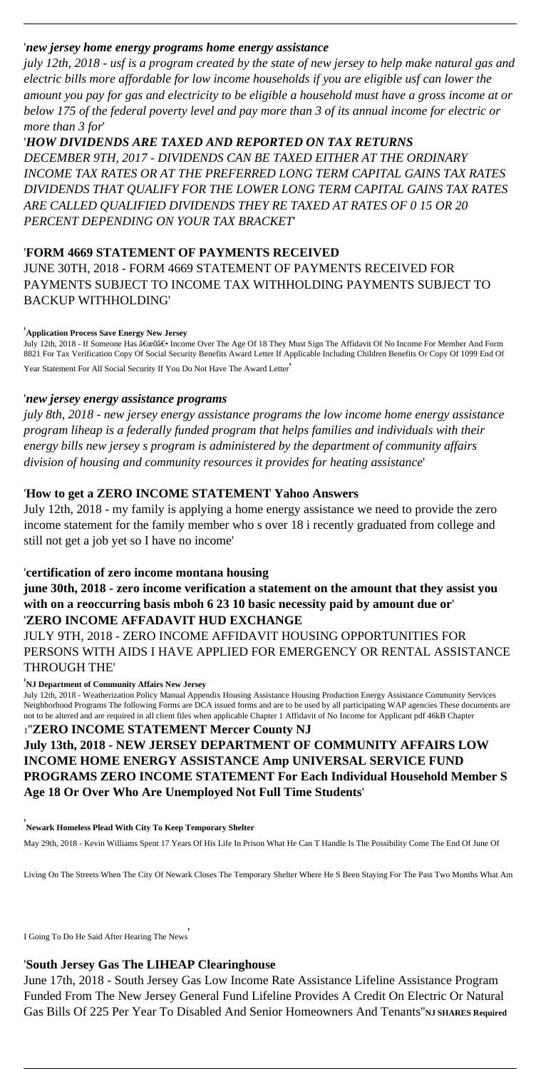## '*new jersey home energy programs home energy assistance*

*july 12th, 2018 - usf is a program created by the state of new jersey to help make natural gas and electric bills more affordable for low income households if you are eligible usf can lower the amount you pay for gas and electricity to be eligible a household must have a gross income at or below 175 of the federal poverty level and pay more than 3 of its annual income for electric or more than 3 for*'

# '*HOW DIVIDENDS ARE TAXED AND REPORTED ON TAX RETURNS*

*DECEMBER 9TH, 2017 - DIVIDENDS CAN BE TAXED EITHER AT THE ORDINARY INCOME TAX RATES OR AT THE PREFERRED LONG TERM CAPITAL GAINS TAX RATES DIVIDENDS THAT QUALIFY FOR THE LOWER LONG TERM CAPITAL GAINS TAX RATES ARE CALLED QUALIFIED DIVIDENDS THEY RE TAXED AT RATES OF 0 15 OR 20 PERCENT DEPENDING ON YOUR TAX BRACKET*'

### '**FORM 4669 STATEMENT OF PAYMENTS RECEIVED**

JUNE 30TH, 2018 - FORM 4669 STATEMENT OF PAYMENTS RECEIVED FOR PAYMENTS SUBJECT TO INCOME TAX WITHHOLDING PAYMENTS SUBJECT TO BACKUP WITHHOLDING'

#### '**Application Process Save Energy New Jersey**

July 12th, 2018 - If Someone Has "0― Income Over The Age Of 18 They Must Sign The Affidavit Of No Income For Member And Form 8821 For Tax Verification Copy Of Social Security Benefits Award Letter If Applicable Including Children Benefits Or Copy Of 1099 End Of Year Statement For All Social Security If You Do Not Have The Award Letter'

### '*new jersey energy assistance programs*

*july 8th, 2018 - new jersey energy assistance programs the low income home energy assistance program liheap is a federally funded program that helps families and individuals with their energy bills new jersey s program is administered by the department of community affairs division of housing and community resources it provides for heating assistance*'

June 17th, 2018 - South Jersey Gas Low Income Rate Assistance Lifeline Assistance Program Funded From The New Jersey General Fund Lifeline Provides A Credit On Electric Or Natural Gas Bills Of 225 Per Year To Disabled And Senior Homeowners And Tenants''NJ SHARES Required

### '**How to get a ZERO INCOME STATEMENT Yahoo Answers**

July 12th, 2018 - my family is applying a home energy assistance we need to provide the zero income statement for the family member who s over 18 i recently graduated from college and still not get a job yet so I have no income'

### '**certification of zero income montana housing**

**june 30th, 2018 - zero income verification a statement on the amount that they assist you with on a reoccurring basis mboh 6 23 10 basic necessity paid by amount due or**' '**ZERO INCOME AFFADAVIT HUD EXCHANGE**

JULY 9TH, 2018 - ZERO INCOME AFFIDAVIT HOUSING OPPORTUNITIES FOR PERSONS WITH AIDS I HAVE APPLIED FOR EMERGENCY OR RENTAL ASSISTANCE THROUGH THE'

#### '**NJ Department of Community Affairs New Jersey**

July 12th, 2018 - Weatherization Policy Manual Appendix Housing Assistance Housing Production Energy Assistance Community Services Neighborhood Programs The following Forms are DCA issued forms and are to be used by all participating WAP agencies These documents are not to be altered and are required in all client files when applicable Chapter 1 Affidavit of No Income for Applicant pdf 46kB Chapter

#### <sup>1</sup>''**ZERO INCOME STATEMENT Mercer County NJ July 13th, 2018 - NEW JERSEY DEPARTMENT OF COMMUNITY AFFAIRS LOW**

# **INCOME HOME ENERGY ASSISTANCE Amp UNIVERSAL SERVICE FUND PROGRAMS ZERO INCOME STATEMENT For Each Individual Household Member S Age 18 Or Over Who Are Unemployed Not Full Time Students**'

'**Newark Homeless Plead With City To Keep Temporary Shelter**

May 29th, 2018 - Kevin Williams Spent 17 Years Of His Life In Prison What He Can T Handle Is The Possibility Come The End Of June Of

Living On The Streets When The City Of Newark Closes The Temporary Shelter Where He S Been Staying For The Past Two Months What Am

I Going To Do He Said After Hearing The News'

#### '**South Jersey Gas The LIHEAP Clearinghouse**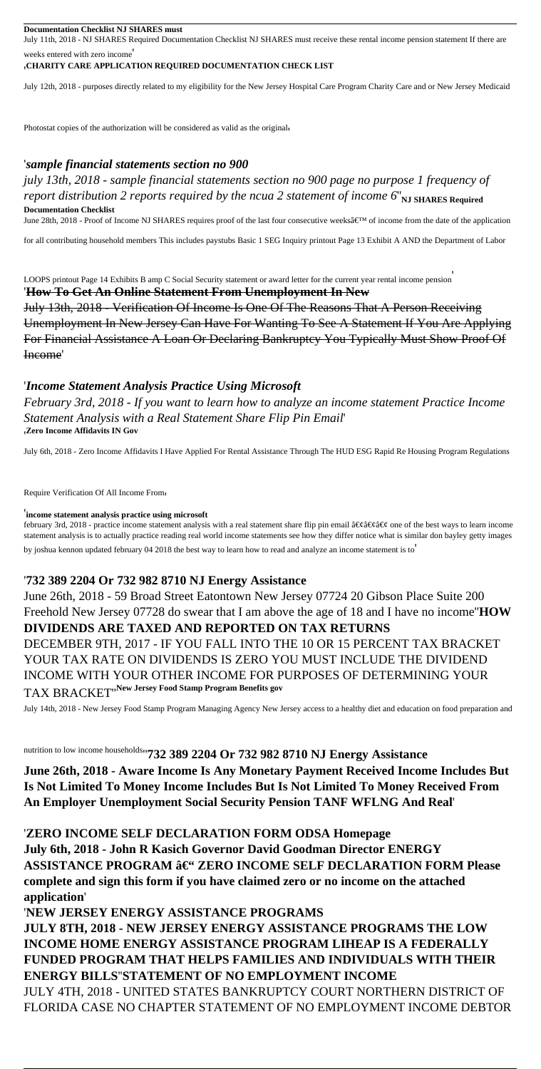#### **Documentation Checklist NJ SHARES must**

July 11th, 2018 - NJ SHARES Required Documentation Checklist NJ SHARES must receive these rental income pension statement If there are weeks entered with zero income'

#### '**CHARITY CARE APPLICATION REQUIRED DOCUMENTATION CHECK LIST**

July 12th, 2018 - purposes directly related to my eligibility for the New Jersey Hospital Care Program Charity Care and or New Jersey Medicaid

Photostat copies of the authorization will be considered as valid as the original.

#### '*sample financial statements section no 900*

*july 13th, 2018 - sample financial statements section no 900 page no purpose 1 frequency of report distribution 2 reports required by the ncua 2 statement of income 6*"<sub>NJ SHARES Required</sub> **Documentation Checklist**

June 28th, 2018 - Proof of Income NJ SHARES requires proof of the last four consecutive weeks' of income from the date of the application

for all contributing household members This includes paystubs Basic 1 SEG Inquiry printout Page 13 Exhibit A AND the Department of Labor

LOOPS printout Page 14 Exhibits B amp C Social Security statement or award letter for the current year rental income pension'

february 3rd, 2018 - practice income statement analysis with a real statement share flip pin email  $\hat{a} \in \hat{e} \hat{a} \in \hat{e} \hat{e} \in \hat{e}$  one of the best ways to learn income statement analysis is to actually practice reading real world income statements see how they differ notice what is similar don bayley getty images

#### '**How To Get An Online Statement From Unemployment In New**

July 13th, 2018 - Verification Of Income Is One Of The Reasons That A Person Receiving Unemployment In New Jersey Can Have For Wanting To See A Statement If You Are Applying For Financial Assistance A Loan Or Declaring Bankruptcy You Typically Must Show Proof Of Income'

#### '*Income Statement Analysis Practice Using Microsoft*

*February 3rd, 2018 - If you want to learn how to analyze an income statement Practice Income Statement Analysis with a Real Statement Share Flip Pin Email*' '**Zero Income Affidavits IN Gov**

July 6th, 2018 - Zero Income Affidavits I Have Applied For Rental Assistance Through The HUD ESG Rapid Re Housing Program Regulations

Require Verification Of All Income From'

#### '**income statement analysis practice using microsoft**

by joshua kennon updated february 04 2018 the best way to learn how to read and analyze an income statement is to'

#### '**732 389 2204 Or 732 982 8710 NJ Energy Assistance**

June 26th, 2018 - 59 Broad Street Eatontown New Jersey 07724 20 Gibson Place Suite 200 Freehold New Jersey 07728 do swear that I am above the age of 18 and I have no income''**HOW DIVIDENDS ARE TAXED AND REPORTED ON TAX RETURNS** DECEMBER 9TH, 2017 - IF YOU FALL INTO THE 10 OR 15 PERCENT TAX BRACKET YOUR TAX RATE ON DIVIDENDS IS ZERO YOU MUST INCLUDE THE DIVIDEND INCOME WITH YOUR OTHER INCOME FOR PURPOSES OF DETERMINING YOUR TAX BRACKET''**New Jersey Food Stamp Program Benefits gov**

July 14th, 2018 - New Jersey Food Stamp Program Managing Agency New Jersey access to a healthy diet and education on food preparation and

nutrition to low income households''**732 389 2204 Or 732 982 8710 NJ Energy Assistance June 26th, 2018 - Aware Income Is Any Monetary Payment Received Income Includes But Is Not Limited To Money Income Includes But Is Not Limited To Money Received From An Employer Unemployment Social Security Pension TANF WFLNG And Real**'

'**ZERO INCOME SELF DECLARATION FORM ODSA Homepage July 6th, 2018 - John R Kasich Governor David Goodman Director ENERGY ASSISTANCE PROGRAM – ZERO INCOME SELF DECLARATION FORM Please complete and sign this form if you have claimed zero or no income on the attached application**'

'**NEW JERSEY ENERGY ASSISTANCE PROGRAMS JULY 8TH, 2018 - NEW JERSEY ENERGY ASSISTANCE PROGRAMS THE LOW INCOME HOME ENERGY ASSISTANCE PROGRAM LIHEAP IS A FEDERALLY FUNDED PROGRAM THAT HELPS FAMILIES AND INDIVIDUALS WITH THEIR ENERGY BILLS**''**STATEMENT OF NO EMPLOYMENT INCOME** JULY 4TH, 2018 - UNITED STATES BANKRUPTCY COURT NORTHERN DISTRICT OF FLORIDA CASE NO CHAPTER STATEMENT OF NO EMPLOYMENT INCOME DEBTOR